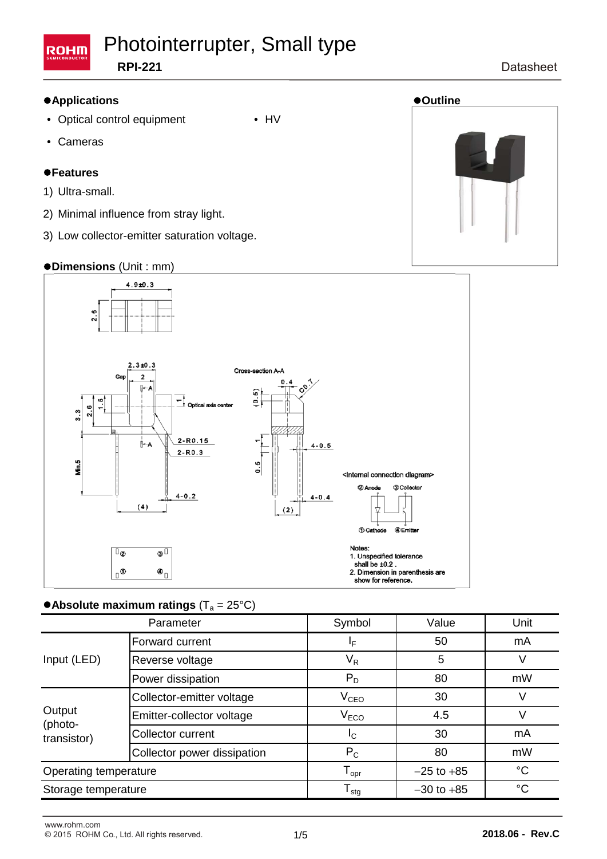#### Photointerrupter, Small type **ROHM RPI-221**

#### **Datasheet**

#### **Applications Outline**

- Optical control equipment HV
- Cameras

#### **Features**

- 1) Ultra-small.
- 2) Minimal influence from stray light.
- 3) Low collector-emitter saturation voltage.

#### **Dimensions** (Unit : mm)



### $\bullet$  Absolute maximum ratings (T<sub>a</sub> = 25°C)

| Parameter                        |                             | Symbol                       | Value          | Unit |
|----------------------------------|-----------------------------|------------------------------|----------------|------|
| Input (LED)                      | Forward current             | ΙF                           | 50             | mA   |
|                                  | Reverse voltage             | $V_R$                        | 5              |      |
|                                  | Power dissipation           | $P_D$                        | 80             | mW   |
| Output<br>(photo-<br>transistor) | Collector-emitter voltage   | $V_{CEO}$                    | 30             |      |
|                                  | Emitter-collector voltage   | V <sub>ECO</sub>             | 4.5            |      |
|                                  | Collector current           | <sub>IC</sub>                | 30             | mA   |
|                                  | Collector power dissipation | $P_C$                        | 80             | mW   |
| Operating temperature            |                             | ${\mathsf T}_{\textsf{opr}}$ | $-25$ to $+85$ | °C   |
| Storage temperature              |                             | ${\mathsf T}_{\textsf{stg}}$ | $-30$ to $+85$ | °C   |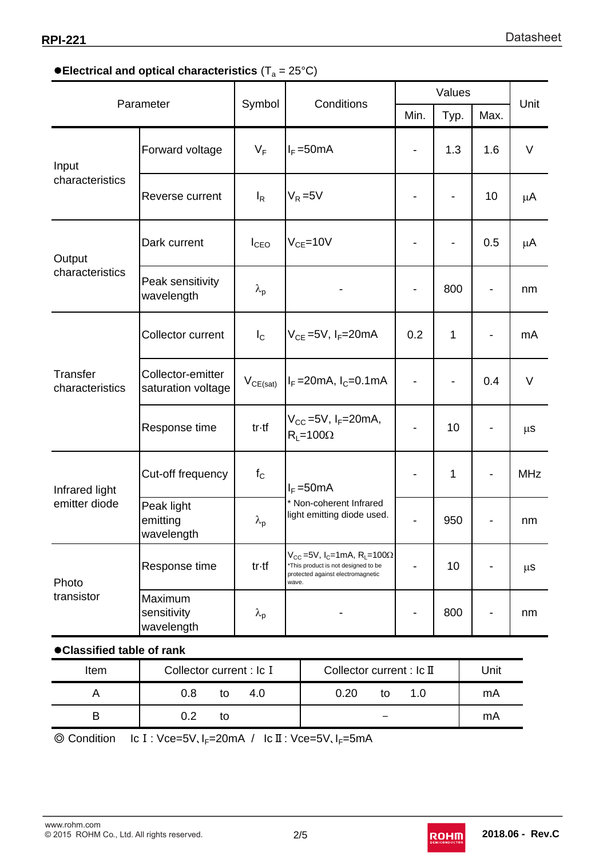## **• Electrical and optical characteristics (T<sub>a</sub> = 25°C)**

| Parameter                       |                                         | Symbol            |       | Conditions                                                                                                                          | Values |                          |      |            |
|---------------------------------|-----------------------------------------|-------------------|-------|-------------------------------------------------------------------------------------------------------------------------------------|--------|--------------------------|------|------------|
|                                 |                                         |                   |       |                                                                                                                                     | Min.   | Typ.                     | Max. | Unit       |
| Input<br>characteristics        | Forward voltage                         | $V_F$             |       | $I_F = 50mA$                                                                                                                        | -      | 1.3                      | 1.6  | $\vee$     |
|                                 | Reverse current                         | $I_R$             |       | $V_R = 5V$                                                                                                                          | -      | $\overline{\phantom{0}}$ | 10   | μA         |
| Output<br>characteristics       | Dark current                            | $I_{CEO}$         |       | $V_{CE}$ =10V                                                                                                                       |        |                          | 0.5  | μA         |
|                                 | Peak sensitivity<br>wavelength          | $\lambda_{\rm p}$ |       |                                                                                                                                     |        | 800                      |      | nm         |
| Transfer<br>characteristics     | Collector current                       | $I_{\rm C}$       |       | $V_{CE}$ =5V, I <sub>F</sub> =20mA                                                                                                  | 0.2    | 1                        |      | mA         |
|                                 | Collector-emitter<br>saturation voltage | $V_{CE(sat)}$     |       | $I_F = 20 \text{mA}, I_C = 0.1 \text{mA}$                                                                                           | -      |                          | 0.4  | $\vee$     |
|                                 | Response time                           | tr-tf             |       | $V_{CC}$ =5V, $I_F$ =20mA,<br>$R_1 = 100\Omega$                                                                                     | -      | 10                       |      | $\mu$ s    |
| Infrared light<br>emitter diode | Cut-off frequency                       | $f_{\rm C}$       |       | $I_F = 50mA$<br>* Non-coherent Infrared<br>light emitting diode used.                                                               |        | $\mathbf{1}$             |      | <b>MHz</b> |
|                                 | Peak light<br>emitting<br>wavelength    | $\lambda_{\sf p}$ |       |                                                                                                                                     |        | 950                      |      | nm         |
| Photo<br>transistor             | Response time                           | tr-tf             | wave. | $V_{CC}$ =5V, I <sub>C</sub> =1mA, R <sub>L</sub> =100Ω<br>*This product is not designed to be<br>protected against electromagnetic | -      | 10                       |      | $\mu$ s    |
|                                 | Maximum<br>sensitivity<br>wavelength    | $\lambda_{\rm p}$ |       |                                                                                                                                     |        | 800                      |      | nm         |
| Classified table of rank        |                                         |                   |       |                                                                                                                                     |        |                          |      |            |
| Item                            | Collector current : Ic I                |                   |       | Collector current : Ic II                                                                                                           |        |                          | Unit |            |

| Item | Collector current : Ic I | Collector current : $lc$ II | Unit |
|------|--------------------------|-----------------------------|------|
|      | 0.8<br>4.0<br>tΟ         | 0.20<br>1.0<br>to           | mA   |
|      | ר ו<br>tΟ                |                             | mA   |

© Condition Ic I : Vce=5V, I<sub>F</sub>=20mA / Ic II : Vce=5V, I<sub>F</sub>=5mA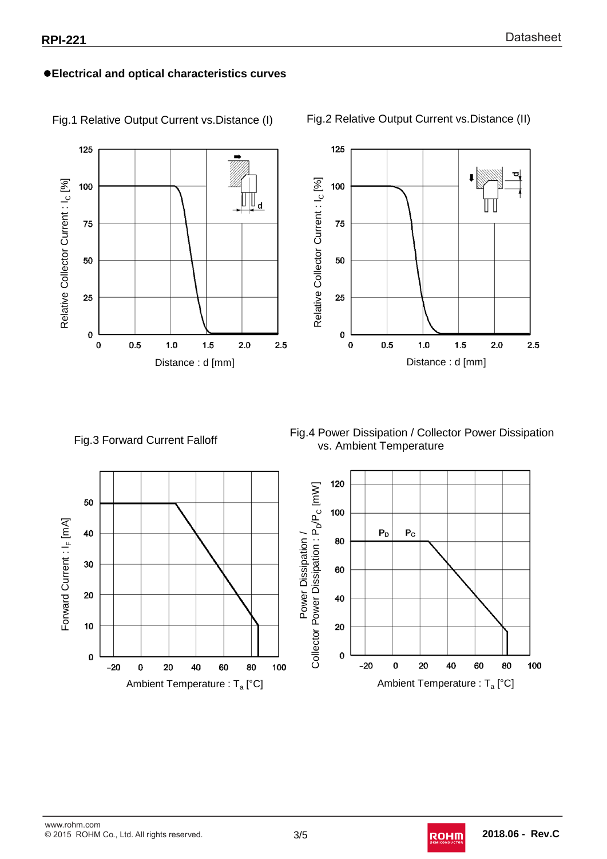#### **Electrical and optical characteristics curves**



Fig.1 Relative Output Current vs.Distance (I)

Fig.2 Relative Output Current vs.Distance (II)

### Fig.3 Forward Current Falloff

Fig.4 Power Dissipation / Collector Power Dissipation vs. Ambient Temperature



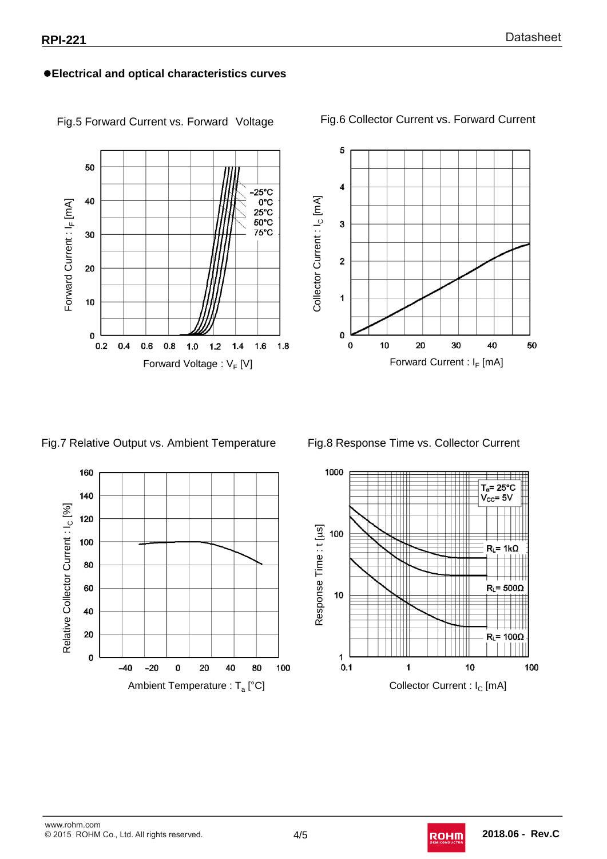#### **Electrical and optical characteristics curves**



Fig.5 Forward Current vs. Forward Voltage

Fig.6 Collector Current vs. Forward Current



Fig.7 Relative Output vs. Ambient Temperature





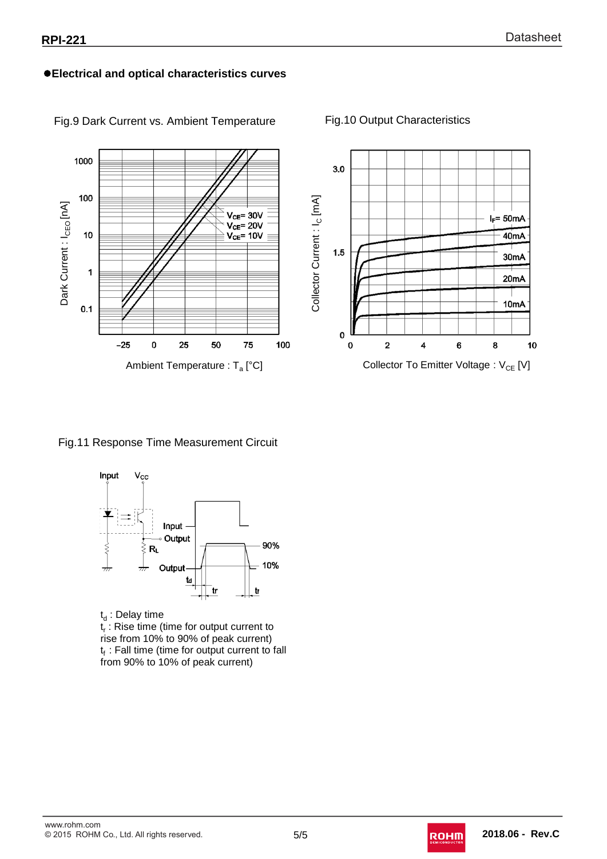#### **Electrical and optical characteristics curves**



#### Fig.9 Dark Current vs. Ambient Temperature Fig.10 Output Characteristics

#### Fig.11 Response Time Measurement Circuit



 $t_d$ : Delay time  $t_r$ : Rise time (time for output current to rise from 10% to 90% of peak current)  $t_f$ : Fall time (time for output current to fall from 90% to 10% of peak current)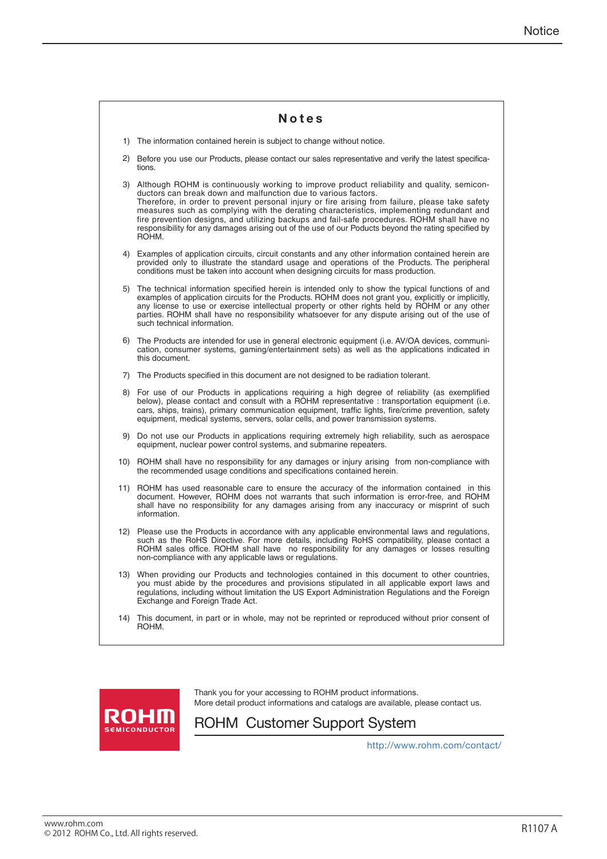|     | Notes                                                                                                                                                                                                                                                                                                                                                                                                                                                                                                                                                                         |
|-----|-------------------------------------------------------------------------------------------------------------------------------------------------------------------------------------------------------------------------------------------------------------------------------------------------------------------------------------------------------------------------------------------------------------------------------------------------------------------------------------------------------------------------------------------------------------------------------|
|     | 1) The information contained herein is subject to change without notice.                                                                                                                                                                                                                                                                                                                                                                                                                                                                                                      |
|     | 2) Before you use our Products, please contact our sales representative and verify the latest specifica-<br>tions.                                                                                                                                                                                                                                                                                                                                                                                                                                                            |
|     | 3) Although ROHM is continuously working to improve product reliability and quality, semicon-<br>ductors can break down and malfunction due to various factors.<br>Therefore, in order to prevent personal injury or fire arising from failure, please take safety<br>measures such as complying with the derating characteristics, implementing redundant and<br>fire prevention designs, and utilizing backups and fail-safe procedures. ROHM shall have no<br>responsibility for any damages arising out of the use of our Poducts beyond the rating specified by<br>ROHM. |
|     | 4) Examples of application circuits, circuit constants and any other information contained herein are<br>provided only to illustrate the standard usage and operations of the Products. The peripheral<br>conditions must be taken into account when designing circuits for mass production.                                                                                                                                                                                                                                                                                  |
|     | 5) The technical information specified herein is intended only to show the typical functions of and<br>examples of application circuits for the Products. ROHM does not grant you, explicitly or implicitly,<br>any license to use or exercise intellectual property or other rights held by ROHM or any other<br>parties. ROHM shall have no responsibility whatsoever for any dispute arising out of the use of<br>such technical information.                                                                                                                              |
|     | 6) The Products are intended for use in general electronic equipment (i.e. AV/OA devices, communi-<br>cation, consumer systems, gaming/entertainment sets) as well as the applications indicated in<br>this document.                                                                                                                                                                                                                                                                                                                                                         |
|     | 7) The Products specified in this document are not designed to be radiation tolerant.                                                                                                                                                                                                                                                                                                                                                                                                                                                                                         |
|     | 8) For use of our Products in applications requiring a high degree of reliability (as exemplified<br>below), please contact and consult with a ROHM representative : transportation equipment (i.e.<br>cars, ships, trains), primary communication equipment, traffic lights, fire/crime prevention, safety<br>equipment, medical systems, servers, solar cells, and power transmission systems.                                                                                                                                                                              |
|     | 9) Do not use our Products in applications requiring extremely high reliability, such as aerospace<br>equipment, nuclear power control systems, and submarine repeaters.                                                                                                                                                                                                                                                                                                                                                                                                      |
|     | 10) ROHM shall have no responsibility for any damages or injury arising from non-compliance with<br>the recommended usage conditions and specifications contained herein.                                                                                                                                                                                                                                                                                                                                                                                                     |
| 11) | ROHM has used reasonable care to ensure the accuracy of the information contained in this<br>document. However, ROHM does not warrants that such information is error-free, and ROHM<br>shall have no responsibility for any damages arising from any inaccuracy or misprint of such<br>information.                                                                                                                                                                                                                                                                          |
|     | 12) Please use the Products in accordance with any applicable environmental laws and regulations,<br>such as the RoHS Directive. For more details, including RoHS compatibility, please contact a<br>ROHM sales office. ROHM shall have no responsibility for any damages or losses resulting<br>non-compliance with any applicable laws or regulations.                                                                                                                                                                                                                      |
|     | 13) When providing our Products and technologies contained in this document to other countries,<br>you must abide by the procedures and provisions stipulated in all applicable export laws and<br>regulations, including without limitation the US Export Administration Regulations and the Foreign<br>Exchange and Foreign Trade Act.                                                                                                                                                                                                                                      |
| 14) | This document, in part or in whole, may not be reprinted or reproduced without prior consent of<br>ROHM.                                                                                                                                                                                                                                                                                                                                                                                                                                                                      |



Thank you for your accessing to ROHM product informations. More detail product informations and catalogs are available, please contact us.

# ROHM Customer Support System

http://www.rohm.com/contact/